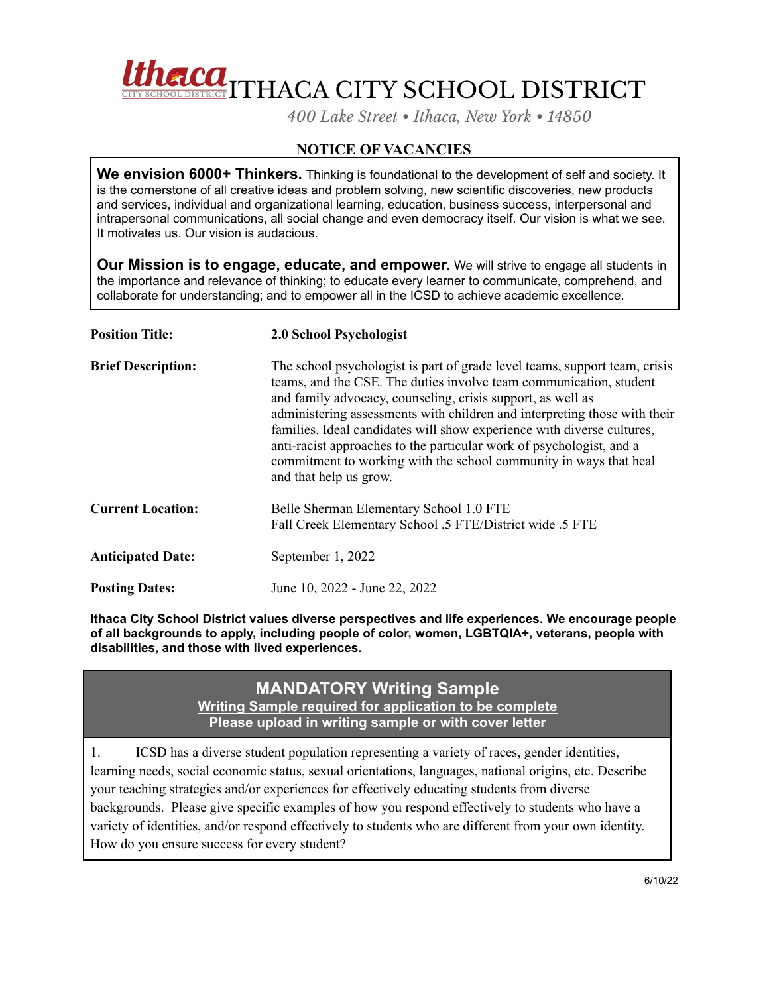

*400 Lake Street • Ithaca, New York • 14850*

## **NOTICE OF VACANCIES**

**We envision 6000+ Thinkers.** Thinking is foundational to the development of self and society. It is the cornerstone of all creative ideas and problem solving, new scientific discoveries, new products and services, individual and organizational learning, education, business success, interpersonal and intrapersonal communications, all social change and even democracy itself. Our vision is what we see. It motivates us. Our vision is audacious.

**Our Mission is to engage, educate, and empower.** We will strive to engage all students in the importance and relevance of thinking; to educate every learner to communicate, comprehend, and collaborate for understanding; and to empower all in the ICSD to achieve academic excellence.

| <b>Position Title:</b>    | 2.0 School Psychologist                                                                                                                                                                                                                                                                                                                                                                                                                                                                                                                       |
|---------------------------|-----------------------------------------------------------------------------------------------------------------------------------------------------------------------------------------------------------------------------------------------------------------------------------------------------------------------------------------------------------------------------------------------------------------------------------------------------------------------------------------------------------------------------------------------|
| <b>Brief Description:</b> | The school psychologist is part of grade level teams, support team, crisis<br>teams, and the CSE. The duties involve team communication, student<br>and family advocacy, counseling, crisis support, as well as<br>administering assessments with children and interpreting those with their<br>families. Ideal candidates will show experience with diverse cultures,<br>anti-racist approaches to the particular work of psychologist, and a<br>commitment to working with the school community in ways that heal<br>and that help us grow. |
| <b>Current Location:</b>  | Belle Sherman Elementary School 1.0 FTE<br>Fall Creek Elementary School .5 FTE/District wide .5 FTE                                                                                                                                                                                                                                                                                                                                                                                                                                           |
| <b>Anticipated Date:</b>  | September 1, 2022                                                                                                                                                                                                                                                                                                                                                                                                                                                                                                                             |
| <b>Posting Dates:</b>     | June 10, 2022 - June 22, 2022                                                                                                                                                                                                                                                                                                                                                                                                                                                                                                                 |

**Ithaca City School District values diverse perspectives and life experiences. We encourage people of all backgrounds to apply, including people of color, women, LGBTQIA+, veterans, people with disabilities, and those with lived experiences.**

## **MANDATORY Writing Sample Writing Sample required for application to be complete Please upload in writing sample or with cover letter**

1. ICSD has a diverse student population representing a variety of races, gender identities, learning needs, social economic status, sexual orientations, languages, national origins, etc. Describe your teaching strategies and/or experiences for effectively educating students from diverse backgrounds. Please give specific examples of how you respond effectively to students who have a variety of identities, and/or respond effectively to students who are different from your own identity. How do you ensure success for every student?